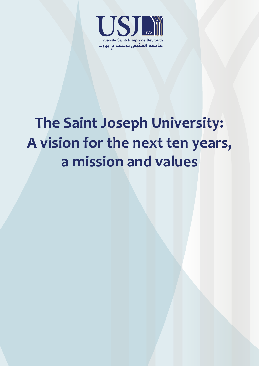

# **The Saint Joseph University: A vision for the next ten years, a mission and values**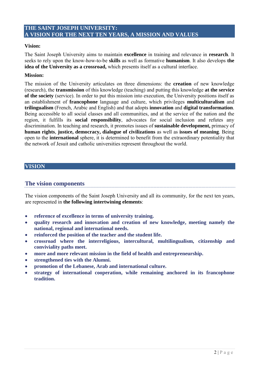# **THE SAINT JOSEPH UNIVERSITY: A VISION FOR THE NEXT TEN YEARS, A MISSION AND VALUES**

## **Vision:**

The Saint Joseph University aims to maintain **excellence** in training and relevance in **research**. It seeks to rely upon the know-how-to-be **skills** as well as formative **humanism**. It also develops **the idea of the University as a crossroad,** which presents itself as a cultural interface.

#### **Mission:**

The mission of the University articulates on three dimensions: the **creation** of new knowledge (research), the **transmission** of this knowledge (teaching) and putting this knowledge **at the service of the society** (service). In order to put this mission into execution, the University positions itself as an establishment of **francophone** language and culture, which privileges **multiculturalism** and **trilingualism** (French, Arabic and English) and that adopts **innovation** and **digital transformation**. Being accessible to all social classes and all communities, and at the service of the nation and the region, it fulfills its **social responsibility**, advocates for social inclusion and refutes any discrimination. In teaching and research, it promotes issues of **sustainable development,** primacy of **human rights**, **justice, democracy, dialogue of civilizations** as well as **issues of meaning**. Being open to the **international** sphere, it is determined to benefit from the extraordinary potentiality that the network of Jesuit and catholic universities represent throughout the world.

## **VISION**

# **The vision components**

The vision components of the Saint Joseph University and all its community, for the next ten years, are represented in **the following intertwining elements**:

- **reference of excellence in terms of university training.**
- **quality research and innovation and creation of new knowledge, meeting namely the national, regional and international needs.**
- **reinforced the position of the teacher and the student life.**
- **crossroad where the interreligious, intercultural, multilingualism, citizenship and conviviality paths meet.**
- **more and more relevant mission in the field of health and entrepreneurship.**
- **strengthened ties with the Alumni.**
- **promotion of the Lebanese, Arab and international culture.**
- **strategy of international cooperation, while remaining anchored in its francophone tradition.**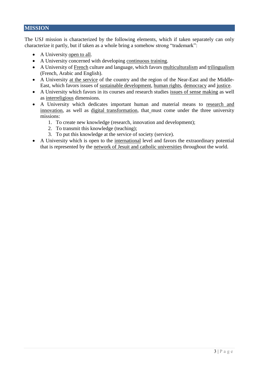## **MISSION**

The USJ mission is characterized by the following elements, which if taken separately can only characterize it partly, but if taken as a whole bring a somehow strong "trademark":

- A University open to all.
- A University concerned with developing continuous training.
- A University of French culture and language, which favors multiculturalism and trilingualism (French, Arabic and English).
- A University at the service of the country and the region of the Near-East and the Middle-East, which favors issues of sustainable development, human rights, democracy and justice.
- A University which favors in its courses and research studies issues of sense making as well as interreligious dimensions.
- A University which dedicates important human and material means to research and innovation, as well as digital transformation, that must come under the three university missions:
	- 1. To create new knowledge (research, innovation and development);
	- 2. To transmit this knowledge (teaching);
	- 3. To put this knowledge at the service of society (service).
- A University which is open to the international level and favors the extraordinary potential that is represented by the network of Jesuit and catholic universities throughout the world.